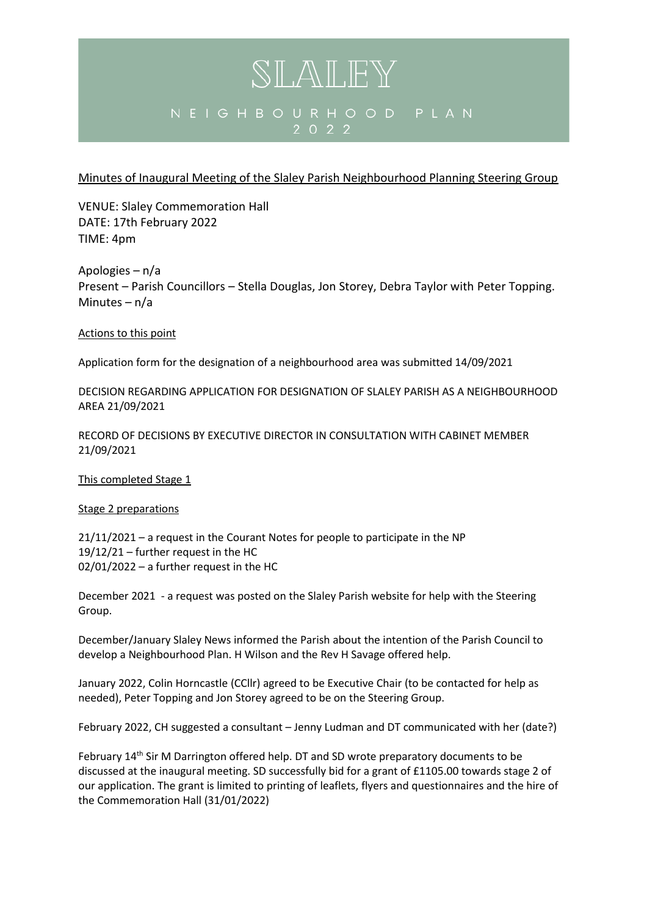## SLALEY NEIGHBOURHOOD PLAN 2 0 2 2

## Minutes of Inaugural Meeting of the Slaley Parish Neighbourhood Planning Steering Group

VENUE: Slaley Commemoration Hall DATE: 17th February 2022 TIME: 4pm

Apologies – n/a Present – Parish Councillors – Stella Douglas, Jon Storey, Debra Taylor with Peter Topping. Minutes – n/a

Actions to this point

Application form for the designation of a neighbourhood area was submitted 14/09/2021

DECISION REGARDING APPLICATION FOR DESIGNATION OF SLALEY PARISH AS A NEIGHBOURHOOD AREA 21/09/2021

RECORD OF DECISIONS BY EXECUTIVE DIRECTOR IN CONSULTATION WITH CABINET MEMBER 21/09/2021

This completed Stage 1

#### Stage 2 preparations

21/11/2021 – a request in the Courant Notes for people to participate in the NP 19/12/21 – further request in the HC 02/01/2022 – a further request in the HC

December 2021 - a request was posted on the Slaley Parish website for help with the Steering Group.

December/January Slaley News informed the Parish about the intention of the Parish Council to develop a Neighbourhood Plan. H Wilson and the Rev H Savage offered help.

January 2022, Colin Horncastle (CCllr) agreed to be Executive Chair (to be contacted for help as needed), Peter Topping and Jon Storey agreed to be on the Steering Group.

February 2022, CH suggested a consultant – Jenny Ludman and DT communicated with her (date?)

February 14<sup>th</sup> Sir M Darrington offered help. DT and SD wrote preparatory documents to be discussed at the inaugural meeting. SD successfully bid for a grant of £1105.00 towards stage 2 of our application. The grant is limited to printing of leaflets, flyers and questionnaires and the hire of the Commemoration Hall (31/01/2022)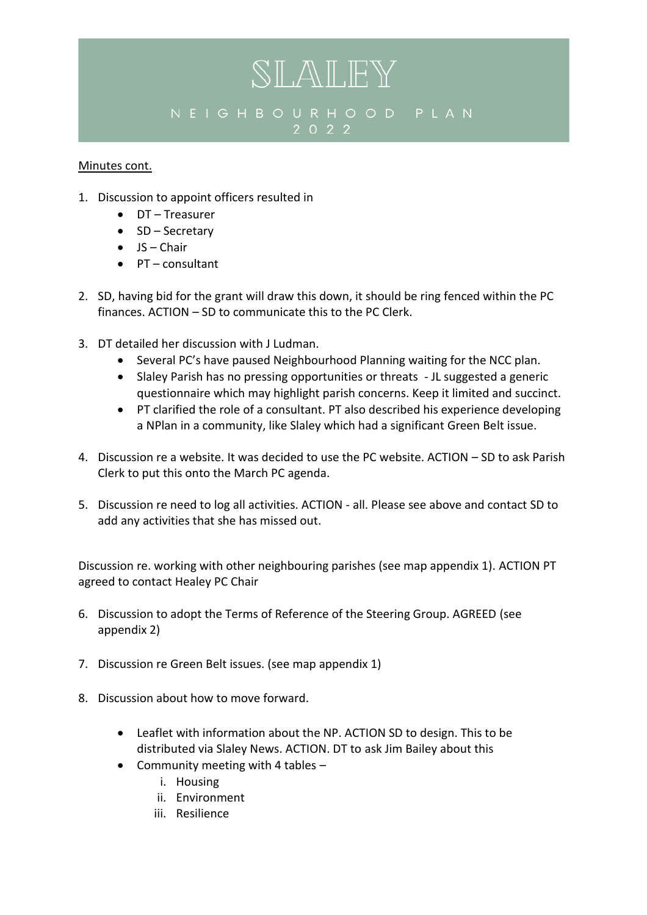## NEIGHBOURHOOD PLAN 2 0 2 2

SLALEY

## Minutes cont.

- 1. Discussion to appoint officers resulted in
	- DT Treasurer
	- SD Secretary
	- $\bullet$  JS Chair
	- PT consultant
- 2. SD, having bid for the grant will draw this down, it should be ring fenced within the PC finances. ACTION – SD to communicate this to the PC Clerk.
- 3. DT detailed her discussion with J Ludman.
	- Several PC's have paused Neighbourhood Planning waiting for the NCC plan.
	- Slaley Parish has no pressing opportunities or threats JL suggested a generic questionnaire which may highlight parish concerns. Keep it limited and succinct.
	- PT clarified the role of a consultant. PT also described his experience developing a NPlan in a community, like Slaley which had a significant Green Belt issue.
- 4. Discussion re a website. It was decided to use the PC website. ACTION SD to ask Parish Clerk to put this onto the March PC agenda.
- 5. Discussion re need to log all activities. ACTION all. Please see above and contact SD to add any activities that she has missed out.

Discussion re. working with other neighbouring parishes (see map appendix 1). ACTION PT agreed to contact Healey PC Chair

- 6. Discussion to adopt the Terms of Reference of the Steering Group. AGREED (see appendix 2)
- 7. Discussion re Green Belt issues. (see map appendix 1)
- 8. Discussion about how to move forward.
	- Leaflet with information about the NP. ACTION SD to design. This to be distributed via Slaley News. ACTION. DT to ask Jim Bailey about this
	- Community meeting with 4 tables
		- i. Housing
		- ii. Environment
		- iii. Resilience